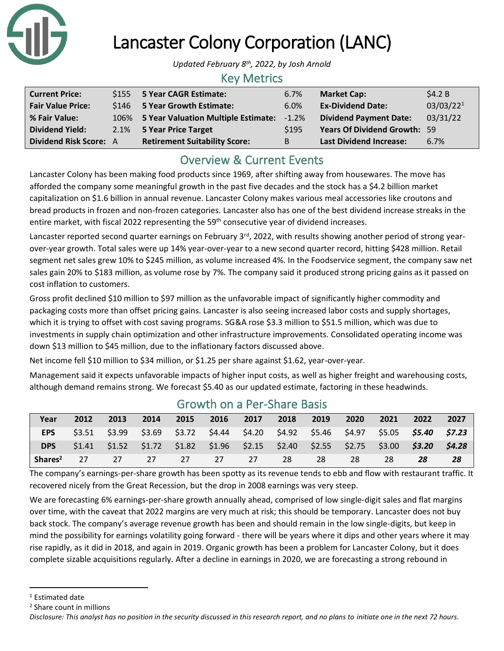

## Lancaster Colony Corporation (LANC)

*Updated February 8th, 2022, by Josh Arnold*

#### Key Metrics

| <b>Current Price:</b>    | \$155 5 Year CAGR Estimate:              | 6.7%             | <b>Market Cap:</b>                  | \$4.2 B               |
|--------------------------|------------------------------------------|------------------|-------------------------------------|-----------------------|
| <b>Fair Value Price:</b> | \$146 5 Year Growth Estimate:            | 6.0%             | <b>Ex-Dividend Date:</b>            | 03/03/22 <sup>1</sup> |
| % Fair Value:            | 106% 5 Year Valuation Multiple Estimate: | $-1.2%$          | <b>Dividend Payment Date:</b>       | 03/31/22              |
| <b>Dividend Yield:</b>   | 2.1% 5 Year Price Target                 | S <sub>195</sub> | <b>Years Of Dividend Growth: 59</b> |                       |
| Dividend Risk Score: A   | <b>Retirement Suitability Score:</b>     | B.               | <b>Last Dividend Increase:</b>      | 6.7%                  |

## Overview & Current Events

Lancaster Colony has been making food products since 1969, after shifting away from housewares. The move has afforded the company some meaningful growth in the past five decades and the stock has a \$4.2 billion market capitalization on \$1.6 billion in annual revenue. Lancaster Colony makes various meal accessories like croutons and bread products in frozen and non-frozen categories. Lancaster also has one of the best dividend increase streaks in the entire market, with fiscal 2022 representing the 59<sup>th</sup> consecutive year of dividend increases.

Lancaster reported second quarter earnings on February 3<sup>rd</sup>, 2022, with results showing another period of strong yearover-year growth. Total sales were up 14% year-over-year to a new second quarter record, hitting \$428 million. Retail segment net sales grew 10% to \$245 million, as volume increased 4%. In the Foodservice segment, the company saw net sales gain 20% to \$183 million, as volume rose by 7%. The company said it produced strong pricing gains as it passed on cost inflation to customers.

Gross profit declined \$10 million to \$97 million as the unfavorable impact of significantly higher commodity and packaging costs more than offset pricing gains. Lancaster is also seeing increased labor costs and supply shortages, which it is trying to offset with cost saving programs. SG&A rose \$3.3 million to \$51.5 million, which was due to investments in supply chain optimization and other infrastructure improvements. Consolidated operating income was down \$13 million to \$45 million, due to the inflationary factors discussed above.

Net income fell \$10 million to \$34 million, or \$1.25 per share against \$1.62, year-over-year.

Management said it expects unfavorable impacts of higher input costs, as well as higher freight and warehousing costs, although demand remains strong. We forecast \$5.40 as our updated estimate, factoring in these headwinds.

| Year                | 2012          | 2013 | 2014 | 2015 | 2016                                                                                 | 2017  | 2018 | 2019 | 2020 | 2021 | 2022 | 2027   |
|---------------------|---------------|------|------|------|--------------------------------------------------------------------------------------|-------|------|------|------|------|------|--------|
| <b>EPS</b>          | \$3.51        |      |      |      | \$3.99  \$3.69  \$3.72  \$4.44  \$4.20  \$4.92  \$5.46  \$4.97  \$5.05 <b>\$5.40</b> |       |      |      |      |      |      | \$7.23 |
| <b>DPS</b>          | $\sim$ \$1.41 |      |      |      | $$1.52$ $$1.72$ $$1.82$ $$1.96$ $$2.15$ $$2.40$ $$2.55$ $$2.75$ $$3.00$ $$3.20$      |       |      |      |      |      |      | \$4.28 |
| Shares <sup>2</sup> | 27            | 27   | 27   | 27   |                                                                                      | 27 27 | - 28 | -28  | 28   | 28   | 28   | 28     |

#### Growth on a Per-Share Basis

The company's earnings-per-share growth has been spotty as its revenue tends to ebb and flow with restaurant traffic. It recovered nicely from the Great Recession, but the drop in 2008 earnings was very steep.

We are forecasting 6% earnings-per-share growth annually ahead, comprised of low single-digit sales and flat margins over time, with the caveat that 2022 margins are very much at risk; this should be temporary. Lancaster does not buy back stock. The company's average revenue growth has been and should remain in the low single-digits, but keep in mind the possibility for earnings volatility going forward - there will be years where it dips and other years where it may rise rapidly, as it did in 2018, and again in 2019. Organic growth has been a problem for Lancaster Colony, but it does complete sizable acquisitions regularly. After a decline in earnings in 2020, we are forecasting a strong rebound in

<sup>&</sup>lt;sup>1</sup> Estimated date

<sup>2</sup> Share count in millions

*Disclosure: This analyst has no position in the security discussed in this research report, and no plans to initiate one in the next 72 hours.*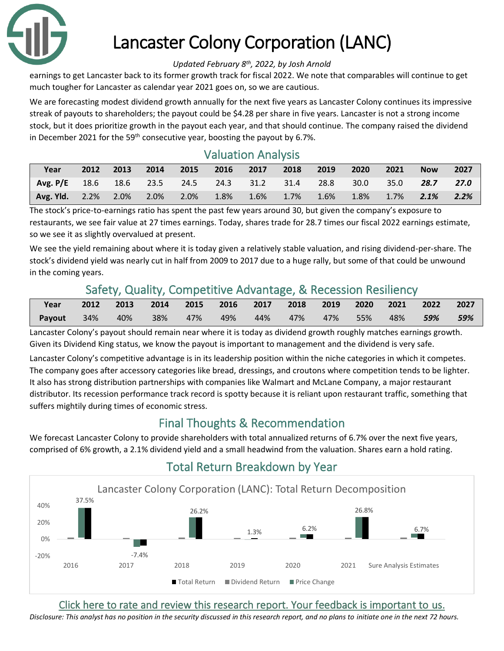

# Lancaster Colony Corporation (LANC)

#### *Updated February 8th, 2022, by Josh Arnold*

earnings to get Lancaster back to its former growth track for fiscal 2022. We note that comparables will continue to get much tougher for Lancaster as calendar year 2021 goes on, so we are cautious.

We are forecasting modest dividend growth annually for the next five years as Lancaster Colony continues its impressive streak of payouts to shareholders; the payout could be \$4.28 per share in five years. Lancaster is not a strong income stock, but it does prioritize growth in the payout each year, and that should continue. The company raised the dividend in December 2021 for the 59<sup>th</sup> consecutive year, boosting the payout by 6.7%.

## Valuation Analysis

| Year                                                     | 2012 | 2013 | 2014         | 2015 | 2016    | 2017    | 2018 | 2019      | 2020 | 2021 | <b>Now</b>           | 2027 |
|----------------------------------------------------------|------|------|--------------|------|---------|---------|------|-----------|------|------|----------------------|------|
| $\sqrt{9.8}$ Avg. P/E 18.6 18.6 23.5 24.5 24.3 31.2 31.4 |      |      |              |      |         |         |      | 28.8 30.0 |      | 35.0 | 28.7 27.0            |      |
| <b>Avg. Yid.</b> $2.2\%$ 2.0%                            |      |      | $2.0\%$ 2.0% |      | $1.8\%$ | $1.6\%$ | 1.7% | 1.6%      |      |      | $1.8\%$ $1.7\%$ 2.1% | 2.2% |

The stock's price-to-earnings ratio has spent the past few years around 30, but given the company's exposure to restaurants, we see fair value at 27 times earnings. Today, shares trade for 28.7 times our fiscal 2022 earnings estimate, so we see it as slightly overvalued at present.

We see the yield remaining about where it is today given a relatively stable valuation, and rising dividend-per-share. The stock's dividend yield was nearly cut in half from 2009 to 2017 due to a huge rally, but some of that could be unwound in the coming years.

### Safety, Quality, Competitive Advantage, & Recession Resiliency

| Year   | 2012    | $\sim$ 2013 | 2014 2015 2016 2017 2018 2019 2020 2021 2022 |       |     |             |     |        | 2027  |
|--------|---------|-------------|----------------------------------------------|-------|-----|-------------|-----|--------|-------|
| Payout | $-34\%$ | 40%         | 38% 47%                                      | - 49% | 44% | 47% 47% 55% | 48% | $59\%$ | - 59% |

Lancaster Colony's payout should remain near where it is today as dividend growth roughly matches earnings growth. Given its Dividend King status, we know the payout is important to management and the dividend is very safe.

Lancaster Colony's competitive advantage is in its leadership position within the niche categories in which it competes. The company goes after accessory categories like bread, dressings, and croutons where competition tends to be lighter. It also has strong distribution partnerships with companies like Walmart and McLane Company, a major restaurant distributor. Its recession performance track record is spotty because it is reliant upon restaurant traffic, something that suffers mightily during times of economic stress.

## Final Thoughts & Recommendation

We forecast Lancaster Colony to provide shareholders with total annualized returns of 6.7% over the next five years, comprised of 6% growth, a 2.1% dividend yield and a small headwind from the valuation. Shares earn a hold rating.



## Total Return Breakdown by Year

[Click here to rate and review this research report. Your feedback is important to us.](https://suredividend.typeform.com/to/e7Q96E)

*Disclosure: This analyst has no position in the security discussed in this research report, and no plans to initiate one in the next 72 hours.*